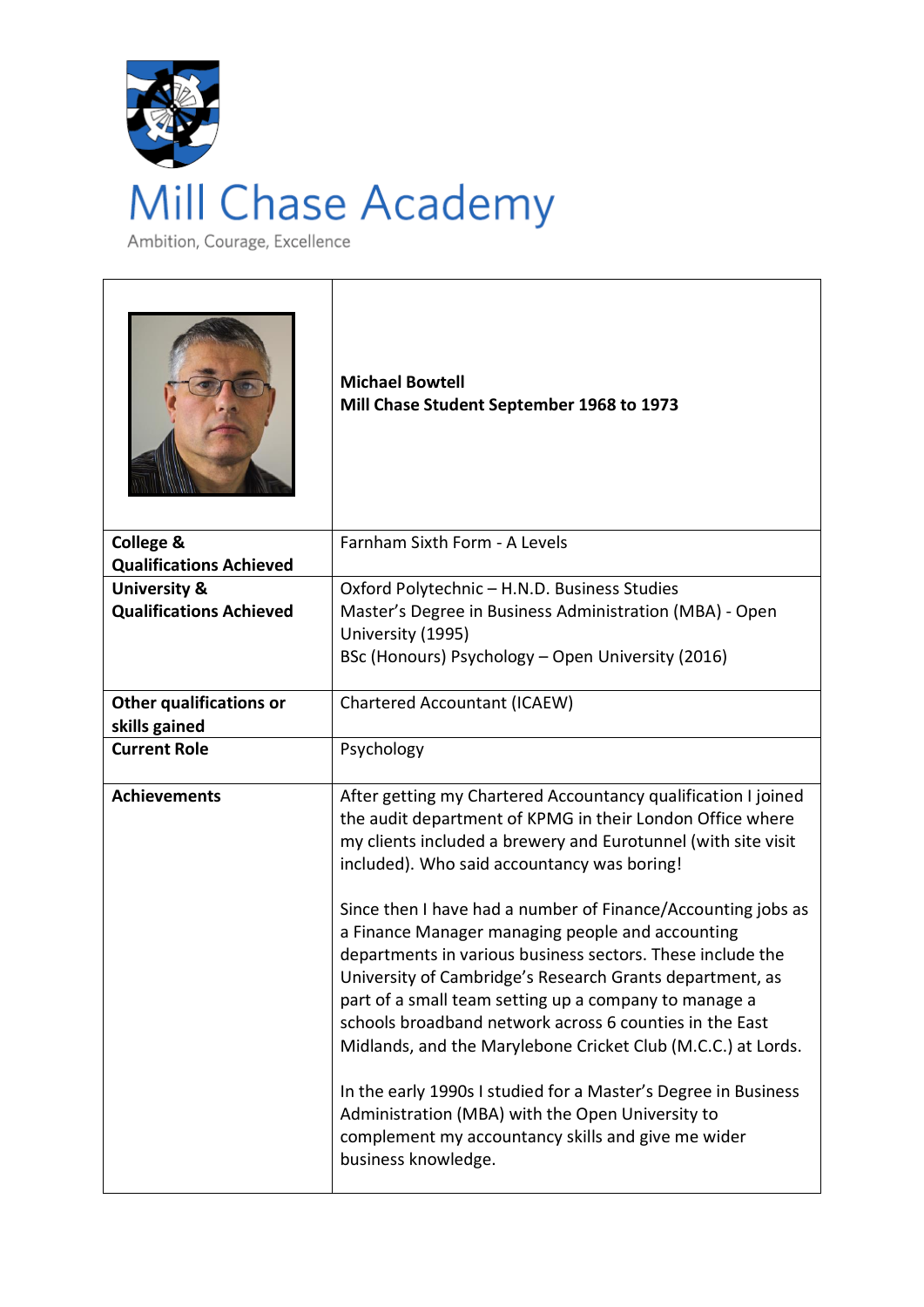

Ambition, Courage, Excellence

|                                                        | <b>Michael Bowtell</b><br>Mill Chase Student September 1968 to 1973                                                                                                                                                                                                                                                                                                                                                                                                                                                                                                                                                                                                                                                                                                                                                                                                             |
|--------------------------------------------------------|---------------------------------------------------------------------------------------------------------------------------------------------------------------------------------------------------------------------------------------------------------------------------------------------------------------------------------------------------------------------------------------------------------------------------------------------------------------------------------------------------------------------------------------------------------------------------------------------------------------------------------------------------------------------------------------------------------------------------------------------------------------------------------------------------------------------------------------------------------------------------------|
| <b>College &amp;</b><br><b>Qualifications Achieved</b> | Farnham Sixth Form - A Levels                                                                                                                                                                                                                                                                                                                                                                                                                                                                                                                                                                                                                                                                                                                                                                                                                                                   |
| <b>University &amp;</b>                                | Oxford Polytechnic - H.N.D. Business Studies                                                                                                                                                                                                                                                                                                                                                                                                                                                                                                                                                                                                                                                                                                                                                                                                                                    |
| <b>Qualifications Achieved</b>                         | Master's Degree in Business Administration (MBA) - Open<br>University (1995)<br>BSc (Honours) Psychology - Open University (2016)                                                                                                                                                                                                                                                                                                                                                                                                                                                                                                                                                                                                                                                                                                                                               |
| <b>Other qualifications or</b><br>skills gained        | <b>Chartered Accountant (ICAEW)</b>                                                                                                                                                                                                                                                                                                                                                                                                                                                                                                                                                                                                                                                                                                                                                                                                                                             |
| <b>Current Role</b>                                    | Psychology                                                                                                                                                                                                                                                                                                                                                                                                                                                                                                                                                                                                                                                                                                                                                                                                                                                                      |
| <b>Achievements</b>                                    | After getting my Chartered Accountancy qualification I joined<br>the audit department of KPMG in their London Office where<br>my clients included a brewery and Eurotunnel (with site visit<br>included). Who said accountancy was boring!<br>Since then I have had a number of Finance/Accounting jobs as<br>a Finance Manager managing people and accounting<br>departments in various business sectors. These include the<br>University of Cambridge's Research Grants department, as<br>part of a small team setting up a company to manage a<br>schools broadband network across 6 counties in the East<br>Midlands, and the Marylebone Cricket Club (M.C.C.) at Lords.<br>In the early 1990s I studied for a Master's Degree in Business<br>Administration (MBA) with the Open University to<br>complement my accountancy skills and give me wider<br>business knowledge. |